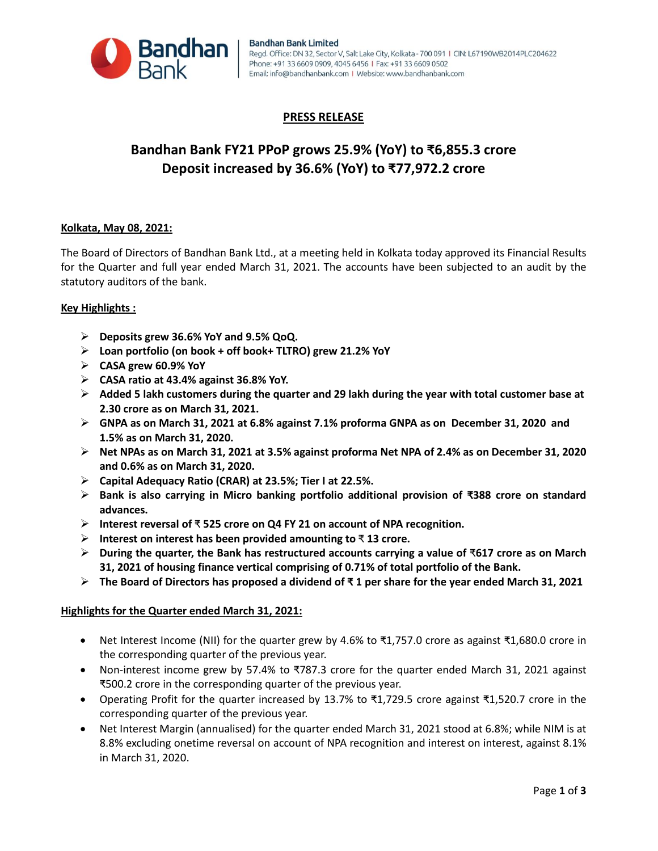

## **PRESS RELEASE**

# **Bandhan Bank FY21 PPoP grows 25.9% (YoY) to ₹6,855.3 crore Deposit increased by 36.6% (YoY) to ₹77,972.2 crore**

## **Kolkata, May 08, 2021:**

The Board of Directors of Bandhan Bank Ltd., at a meeting held in Kolkata today approved its Financial Results for the Quarter and full year ended March 31, 2021. The accounts have been subjected to an audit by the statutory auditors of the bank.

#### **Key Highlights :**

- **Deposits grew 36.6% YoY and 9.5% QoQ.**
- **Loan portfolio (on book + off book+ TLTRO) grew 21.2% YoY**
- **CASA grew 60.9% YoY**
- **CASA ratio at 43.4% against 36.8% YoY.**
- **Added 5 lakh customers during the quarter and 29 lakh during the year with total customer base at 2.30 crore as on March 31, 2021.**
- **GNPA as on March 31, 2021 at 6.8% against 7.1% proforma GNPA as on December 31, 2020 and 1.5% as on March 31, 2020.**
- **Net NPAs as on March 31, 2021 at 3.5% against proforma Net NPA of 2.4% as on December 31, 2020 and 0.6% as on March 31, 2020.**
- **Capital Adequacy Ratio (CRAR) at 23.5%; Tier I at 22.5%.**
- **Bank is also carrying in Micro banking portfolio additional provision of ₹388 crore on standard advances.**
- **Interest reversal of** ₹ **525 crore on Q4 FY 21 on account of NPA recognition.**
- **Interest on interest has been provided amounting to** ₹ **13 crore.**
- **During the quarter, the Bank has restructured accounts carrying a value of** ₹**617 crore as on March 31, 2021 of housing finance vertical comprising of 0.71% of total portfolio of the Bank.**
- **The Board of Directors has proposed a dividend of ₹ 1 per share for the year ended March 31, 2021**

#### **Highlights for the Quarter ended March 31, 2021:**

- Net Interest Income (NII) for the quarter grew by 4.6% to ₹1,757.0 crore as against ₹1,680.0 crore in the corresponding quarter of the previous year.
- Non-interest income grew by 57.4% to ₹787.3 crore for the quarter ended March 31, 2021 against ₹500.2 crore in the corresponding quarter of the previous year.
- Operating Profit for the quarter increased by 13.7% to ₹1,729.5 crore against ₹1,520.7 crore in the corresponding quarter of the previous year.
- Net Interest Margin (annualised) for the quarter ended March 31, 2021 stood at 6.8%; while NIM is at 8.8% excluding onetime reversal on account of NPA recognition and interest on interest, against 8.1% in March 31, 2020.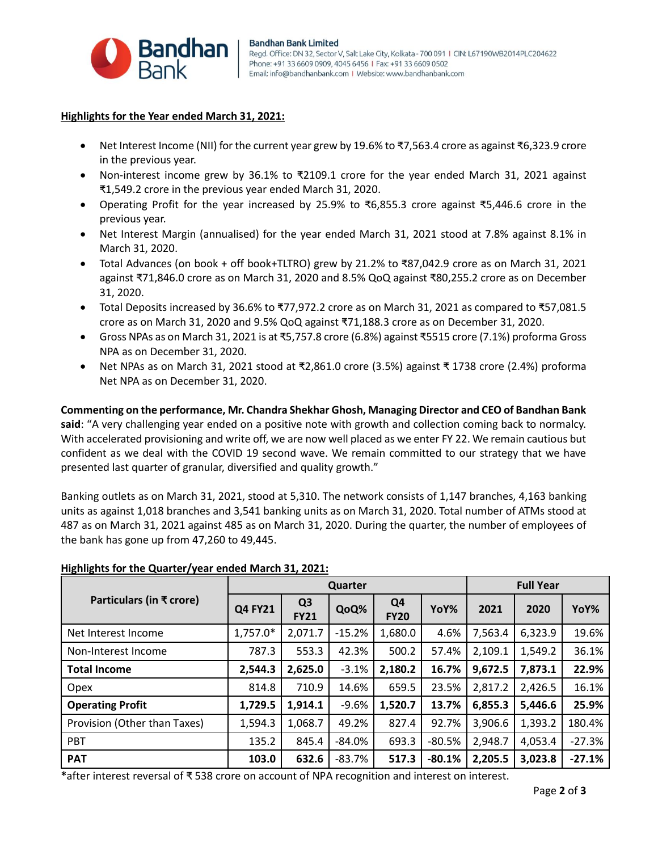

#### **Highlights for the Year ended March 31, 2021:**

- Net Interest Income (NII) for the current year grew by 19.6% to ₹7,563.4 crore as against ₹6,323.9 crore in the previous year.
- Non-interest income grew by 36.1% to ₹2109.1 crore for the year ended March 31, 2021 against ₹1,549.2 crore in the previous year ended March 31, 2020.
- Operating Profit for the year increased by 25.9% to ₹6,855.3 crore against ₹5,446.6 crore in the previous year.
- Net Interest Margin (annualised) for the year ended March 31, 2021 stood at 7.8% against 8.1% in March 31, 2020.
- Total Advances (on book + off book+TLTRO) grew by 21.2% to ₹87,042.9 crore as on March 31, 2021 against ₹71,846.0 crore as on March 31, 2020 and 8.5% QoQ against ₹80,255.2 crore as on December 31, 2020.
- Total Deposits increased by 36.6% to ₹77,972.2 crore as on March 31, 2021 as compared to ₹57,081.5 crore as on March 31, 2020 and 9.5% QoQ against ₹71,188.3 crore as on December 31, 2020.
- Gross NPAs as on March 31, 2021 is at ₹5,757.8 crore (6.8%) against ₹5515 crore (7.1%) proforma Gross NPA as on December 31, 2020.
- Net NPAs as on March 31, 2021 stood at ₹2,861.0 crore (3.5%) against ₹ 1738 crore (2.4%) proforma Net NPA as on December 31, 2020.

**Commenting on the performance, Mr. Chandra Shekhar Ghosh, Managing Director and CEO of Bandhan Bank said**: "A very challenging year ended on a positive note with growth and collection coming back to normalcy. With accelerated provisioning and write off, we are now well placed as we enter FY 22. We remain cautious but confident as we deal with the COVID 19 second wave. We remain committed to our strategy that we have presented last quarter of granular, diversified and quality growth."

Banking outlets as on March 31, 2021, stood at 5,310. The network consists of 1,147 branches, 4,163 banking units as against 1,018 branches and 3,541 banking units as on March 31, 2020. Total number of ATMs stood at 487 as on March 31, 2021 against 485 as on March 31, 2020. During the quarter, the number of employees of the bank has gone up from 47,260 to 49,445.

| Particulars (in ₹ crore)     | Quarter        |                               |          |                               |          | <b>Full Year</b> |         |          |
|------------------------------|----------------|-------------------------------|----------|-------------------------------|----------|------------------|---------|----------|
|                              | <b>Q4 FY21</b> | Q <sub>3</sub><br><b>FY21</b> | QoQ%     | Q <sub>4</sub><br><b>FY20</b> | YoY%     | 2021             | 2020    | YoY%     |
| Net Interest Income          | 1,757.0*       | 2,071.7                       | $-15.2%$ | 1,680.0                       | 4.6%     | 7,563.4          | 6,323.9 | 19.6%    |
| Non-Interest Income          | 787.3          | 553.3                         | 42.3%    | 500.2                         | 57.4%    | 2,109.1          | 1,549.2 | 36.1%    |
| <b>Total Income</b>          | 2,544.3        | 2,625.0                       | $-3.1%$  | 2,180.2                       | 16.7%    | 9,672.5          | 7,873.1 | 22.9%    |
| Opex                         | 814.8          | 710.9                         | 14.6%    | 659.5                         | 23.5%    | 2,817.2          | 2,426.5 | 16.1%    |
| <b>Operating Profit</b>      | 1,729.5        | 1,914.1                       | $-9.6%$  | 1,520.7                       | 13.7%    | 6,855.3          | 5,446.6 | 25.9%    |
| Provision (Other than Taxes) | 1,594.3        | 1,068.7                       | 49.2%    | 827.4                         | 92.7%    | 3,906.6          | 1,393.2 | 180.4%   |
| <b>PBT</b>                   | 135.2          | 845.4                         | $-84.0%$ | 693.3                         | $-80.5%$ | 2,948.7          | 4,053.4 | $-27.3%$ |
| <b>PAT</b>                   | 103.0          | 632.6                         | $-83.7%$ | 517.3                         | $-80.1%$ | 2,205.5          | 3,023.8 | $-27.1%$ |

## **Highlights for the Quarter/year ended March 31, 2021:**

**\***after interest reversal of ₹ 538 crore on account of NPA recognition and interest on interest.